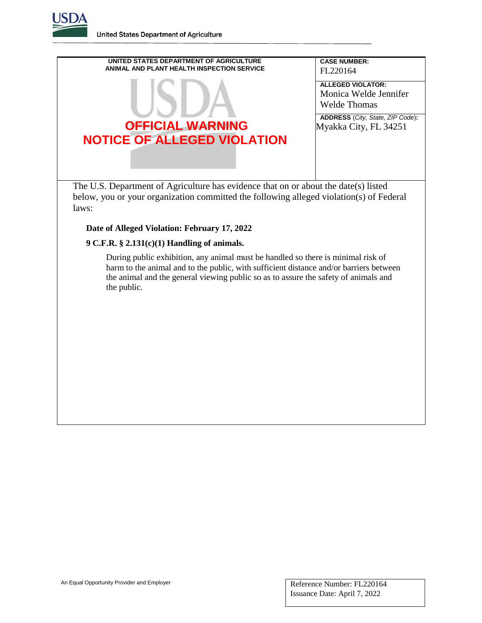**United States Department of Agriculture** 



## **Date of Alleged Violation: February 17, 2022**

## **9 C.F.R. § 2.131(c)(1) Handling of animals.**

During public exhibition, any animal must be handled so there is minimal risk of harm to the animal and to the public, with sufficient distance and/or barriers between the animal and the general viewing public so as to assure the safety of animals and the public.